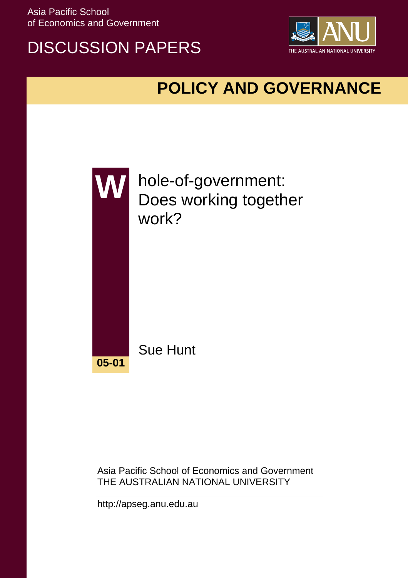Asia Pacific School of Economics and Government

# DISCUSSION PAPERS



# **POLICY AND GOVERNANCE**



Asia Pacific School of Economics and Government THE AUSTRALIAN NATIONAL UNIVERSITY

http://apseg.anu.edu.au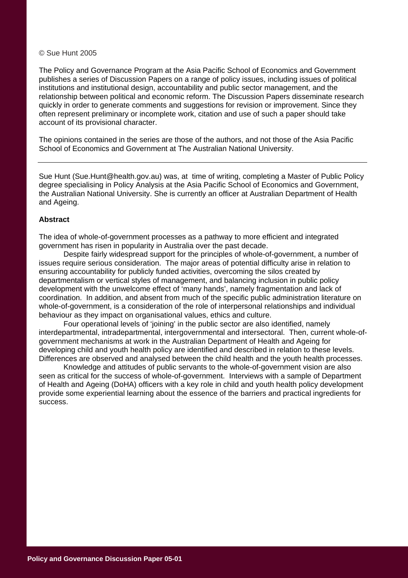#### © Sue Hunt 2005

The Policy and Governance Program at the Asia Pacific School of Economics and Government publishes a series of Discussion Papers on a range of policy issues, including issues of political institutions and institutional design, accountability and public sector management, and the relationship between political and economic reform. The Discussion Papers disseminate research quickly in order to generate comments and suggestions for revision or improvement. Since they often represent preliminary or incomplete work, citation and use of such a paper should take account of its provisional character.

The opinions contained in the series are those of the authors, and not those of the Asia Pacific School of Economics and Government at The Australian National University.

Sue Hunt (Sue.Hunt@health.gov.au) was, at time of writing, completing a Master of Public Policy degree specialising in Policy Analysis at the Asia Pacific School of Economics and Government, the Australian National University. She is currently an officer at Australian Department of Health and Ageing.

#### **Abstract**

The idea of whole-of-government processes as a pathway to more efficient and integrated government has risen in popularity in Australia over the past decade.

Despite fairly widespread support for the principles of whole-of-government, a number of issues require serious consideration. The major areas of potential difficulty arise in relation to ensuring accountability for publicly funded activities, overcoming the silos created by departmentalism or vertical styles of management, and balancing inclusion in public policy development with the unwelcome effect of 'many hands', namely fragmentation and lack of coordination. In addition, and absent from much of the specific public administration literature on whole-of-government, is a consideration of the role of interpersonal relationships and individual behaviour as they impact on organisational values, ethics and culture.

Four operational levels of 'joining' in the public sector are also identified, namely interdepartmental, intradepartmental, intergovernmental and intersectoral. Then, current whole-ofgovernment mechanisms at work in the Australian Department of Health and Ageing for developing child and youth health policy are identified and described in relation to these levels. Differences are observed and analysed between the child health and the youth health processes.

Knowledge and attitudes of public servants to the whole-of-government vision are also seen as critical for the success of whole-of-government. Interviews with a sample of Department of Health and Ageing (DoHA) officers with a key role in child and youth health policy development provide some experiential learning about the essence of the barriers and practical ingredients for success.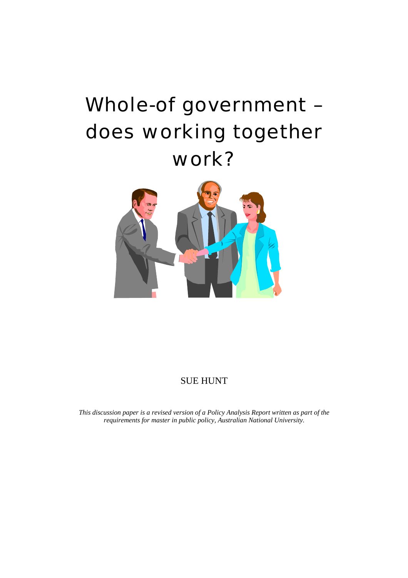# Whole-of government – does working together work?



### SUE HUNT

*This discussion paper is a revised version of a Policy Analysis Report written as part of the requirements for master in public policy, Australian National University.*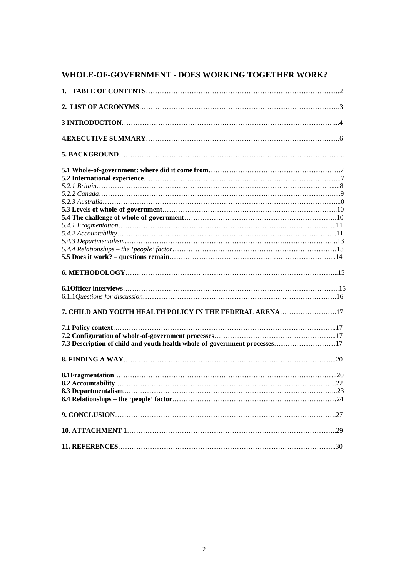## **WHOLE-OF-GOVERNMENT - DOES WORKING TOGETHER WORK?**

| 7. CHILD AND YOUTH HEALTH POLICY IN THE FEDERAL ARENA17                   |
|---------------------------------------------------------------------------|
|                                                                           |
|                                                                           |
|                                                                           |
| 7.3 Description of child and youth health whole-of-government processes17 |
|                                                                           |
|                                                                           |
|                                                                           |
|                                                                           |
|                                                                           |
|                                                                           |
|                                                                           |
|                                                                           |
|                                                                           |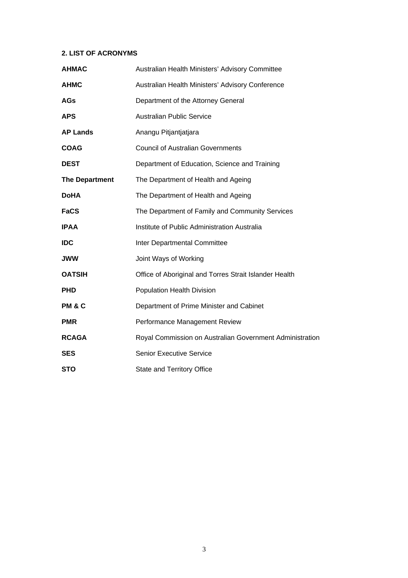#### **2. LIST OF ACRONYMS**

| <b>AHMAC</b>          | Australian Health Ministers' Advisory Committee          |  |  |
|-----------------------|----------------------------------------------------------|--|--|
| <b>AHMC</b>           | Australian Health Ministers' Advisory Conference         |  |  |
| <b>AGs</b>            | Department of the Attorney General                       |  |  |
| <b>APS</b>            | <b>Australian Public Service</b>                         |  |  |
| <b>AP Lands</b>       | Anangu Pitjantjatjara                                    |  |  |
| <b>COAG</b>           | <b>Council of Australian Governments</b>                 |  |  |
| <b>DEST</b>           | Department of Education, Science and Training            |  |  |
| <b>The Department</b> | The Department of Health and Ageing                      |  |  |
| <b>DoHA</b>           | The Department of Health and Ageing                      |  |  |
| <b>FaCS</b>           | The Department of Family and Community Services          |  |  |
| <b>IPAA</b>           | Institute of Public Administration Australia             |  |  |
| <b>IDC</b>            | Inter Departmental Committee                             |  |  |
| <b>JWW</b>            | Joint Ways of Working                                    |  |  |
| <b>OATSIH</b>         | Office of Aboriginal and Torres Strait Islander Health   |  |  |
| <b>PHD</b>            | <b>Population Health Division</b>                        |  |  |
| <b>PM &amp; C</b>     | Department of Prime Minister and Cabinet                 |  |  |
| <b>PMR</b>            | Performance Management Review                            |  |  |
| <b>RCAGA</b>          | Royal Commission on Australian Government Administration |  |  |
| <b>SES</b>            | <b>Senior Executive Service</b>                          |  |  |
| <b>STO</b>            | <b>State and Territory Office</b>                        |  |  |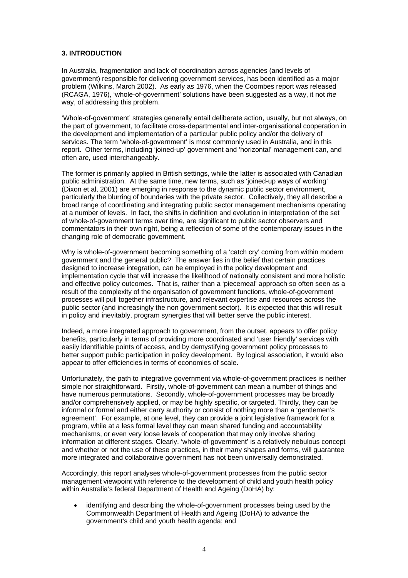#### **3. INTRODUCTION**

In Australia, fragmentation and lack of coordination across agencies (and levels of government) responsible for delivering government services, has been identified as a major problem (Wilkins, March 2002). As early as 1976, when the Coombes report was released (RCAGA, 1976), 'whole-of-government' solutions have been suggested as a way, it not *the* way, of addressing this problem.

'Whole-of-government' strategies generally entail deliberate action, usually, but not always, on the part of government, to facilitate cross-departmental and inter-organisational cooperation in the development and implementation of a particular public policy and/or the delivery of services. The term 'whole-of-government' is most commonly used in Australia, and in this report. Other terms, including 'joined-up' government and 'horizontal' management can, and often are, used interchangeably.

The former is primarily applied in British settings, while the latter is associated with Canadian public administration. At the same time, new terms, such as 'joined-up ways of working' (Dixon et al, 2001) are emerging in response to the dynamic public sector environment, particularly the blurring of boundaries with the private sector. Collectively, they all describe a broad range of coordinating and integrating public sector management mechanisms operating at a number of levels. In fact, the shifts in definition and evolution in interpretation of the set of whole-of-government terms over time, are significant to public sector observers and commentators in their own right, being a reflection of some of the contemporary issues in the changing role of democratic government.

Why is whole-of-government becoming something of a 'catch cry' coming from within modern government and the general public? The answer lies in the belief that certain practices designed to increase integration, can be employed in the policy development and implementation cycle that will increase the likelihood of nationally consistent and more holistic and effective policy outcomes. That is, rather than a 'piecemeal' approach so often seen as a result of the complexity of the organisation of government functions, whole-of-government processes will pull together infrastructure, and relevant expertise and resources across the public sector (and increasingly the non government sector). It is expected that this will result in policy and inevitably, program synergies that will better serve the public interest.

Indeed, a more integrated approach to government, from the outset, appears to offer policy benefits, particularly in terms of providing more coordinated and 'user friendly' services with easily identifiable points of access, and by demystifying government policy processes to better support public participation in policy development. By logical association, it would also appear to offer efficiencies in terms of economies of scale.

Unfortunately, the path to integrative government via whole-of-government practices is neither simple nor straightforward. Firstly, whole-of-government can mean a number of things and have numerous permutations. Secondly, whole-of-government processes may be broadly and/or comprehensively applied, or may be highly specific, or targeted. Thirdly, they can be informal or formal and either carry authority or consist of nothing more than a 'gentlemen's agreement'. For example, at one level, they can provide a joint legislative framework for a program, while at a less formal level they can mean shared funding and accountability mechanisms, or even very loose levels of cooperation that may only involve sharing information at different stages. Clearly, 'whole-of-government' is a relatively nebulous concept and whether or not the use of these practices, in their many shapes and forms, will guarantee more integrated and collaborative government has not been universally demonstrated.

Accordingly, this report analyses whole-of-government processes from the public sector management viewpoint with reference to the development of child and youth health policy within Australia's federal Department of Health and Ageing (DoHA) by:

• identifying and describing the whole-of-government processes being used by the Commonwealth Department of Health and Ageing (DoHA) to advance the government's child and youth health agenda; and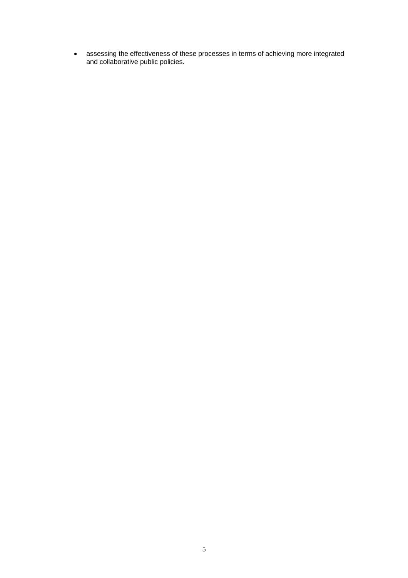• assessing the effectiveness of these processes in terms of achieving more integrated and collaborative public policies.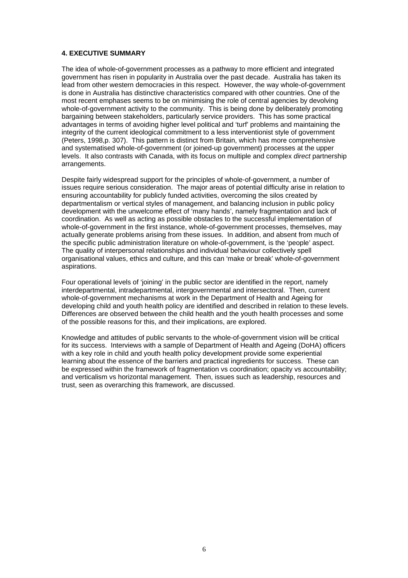#### **4. EXECUTIVE SUMMARY**

The idea of whole-of-government processes as a pathway to more efficient and integrated government has risen in popularity in Australia over the past decade. Australia has taken its lead from other western democracies in this respect. However, the way whole-of-government is done in Australia has distinctive characteristics compared with other countries. One of the most recent emphases seems to be on minimising the role of central agencies by devolving whole-of-government activity to the community. This is being done by deliberately promoting bargaining between stakeholders, particularly service providers. This has some practical advantages in terms of avoiding higher level political and 'turf' problems and maintaining the integrity of the current ideological commitment to a less interventionist style of government (Peters, 1998,p. 307). This pattern is distinct from Britain, which has more comprehensive and systematised whole-of-government (or joined-up government) processes at the upper levels. It also contrasts with Canada, with its focus on multiple and complex *direct* partnership arrangements.

Despite fairly widespread support for the principles of whole-of-government, a number of issues require serious consideration. The major areas of potential difficulty arise in relation to ensuring accountability for publicly funded activities, overcoming the silos created by departmentalism or vertical styles of management, and balancing inclusion in public policy development with the unwelcome effect of 'many hands', namely fragmentation and lack of coordination. As well as acting as possible obstacles to the successful implementation of whole-of-government in the first instance, whole-of-government processes, themselves, may actually generate problems arising from these issues. In addition, and absent from much of the specific public administration literature on whole-of-government, is the 'people' aspect. The quality of interpersonal relationships and individual behaviour collectively spell organisational values, ethics and culture, and this can 'make or break' whole-of-government aspirations.

Four operational levels of 'joining' in the public sector are identified in the report, namely interdepartmental, intradepartmental, intergovernmental and intersectoral. Then, current whole-of-government mechanisms at work in the Department of Health and Ageing for developing child and youth health policy are identified and described in relation to these levels. Differences are observed between the child health and the youth health processes and some of the possible reasons for this, and their implications, are explored.

Knowledge and attitudes of public servants to the whole-of-government vision will be critical for its success. Interviews with a sample of Department of Health and Ageing (DoHA) officers with a key role in child and youth health policy development provide some experiential learning about the essence of the barriers and practical ingredients for success. These can be expressed within the framework of fragmentation vs coordination; opacity vs accountability; and verticalism vs horizontal management. Then, issues such as leadership, resources and trust, seen as overarching this framework, are discussed.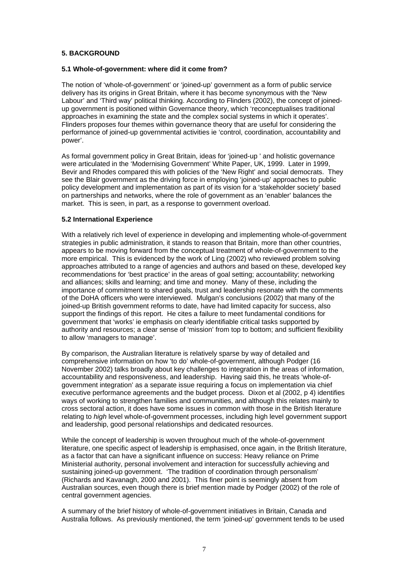#### **5. BACKGROUND**

#### **5.1 Whole-of-government: where did it come from?**

The notion of 'whole-of-government' or 'joined-up' government as a form of public service delivery has its origins in Great Britain, where it has become synonymous with the 'New Labour' and 'Third way' political thinking. According to Flinders (2002), the concept of joinedup government is positioned within Governance theory, which 'reconceptualises traditional approaches in examining the state and the complex social systems in which it operates'. Flinders proposes four themes within governance theory that are useful for considering the performance of joined-up governmental activities ie 'control, coordination, accountability and power'.

As formal government policy in Great Britain, ideas for 'joined-up ' and holistic governance were articulated in the 'Modernising Government' White Paper, UK, 1999. Later in 1999, Bevir and Rhodes compared this with policies of the 'New Right' and social democrats. They see the Blair government as the driving force in employing 'joined-up' approaches to public policy development and implementation as part of its vision for a 'stakeholder society' based on partnerships and networks, where the role of government as an 'enabler' balances the market. This is seen, in part, as a response to government overload.

#### **5.2 International Experience**

With a relatively rich level of experience in developing and implementing whole-of-government strategies in public administration, it stands to reason that Britain, more than other countries, appears to be moving forward from the conceptual treatment of whole-of-government to the more empirical. This is evidenced by the work of Ling (2002) who reviewed problem solving approaches attributed to a range of agencies and authors and based on these, developed key recommendations for 'best practice' in the areas of goal setting; accountability; networking and alliances; skills and learning; and time and money. Many of these, including the importance of commitment to shared goals, trust and leadership resonate with the comments of the DoHA officers who were interviewed. Mulgan's conclusions (2002) that many of the joined-up British government reforms to date, have had limited capacity for success, also support the findings of this report. He cites a failure to meet fundamental conditions for government that 'works' ie emphasis on clearly identifiable critical tasks supported by authority and resources; a clear sense of 'mission' from top to bottom; and sufficient flexibility to allow 'managers to manage'.

By comparison, the Australian literature is relatively sparse by way of detailed and comprehensive information on how 'to do' whole-of-government, although Podger (16 November 2002) talks broadly about key challenges to integration in the areas of information, accountability and responsiveness, and leadership. Having said this, he treats 'whole-ofgovernment integration' as a separate issue requiring a focus on implementation via chief executive performance agreements and the budget process. Dixon et al (2002, p 4) identifies ways of working to strengthen families and communities, and although this relates mainly to cross sectoral action, it does have some issues in common with those in the British literature relating to *high* level whole-of-government processes, including high level government support and leadership, good personal relationships and dedicated resources.

While the concept of leadership is woven throughout much of the whole-of-government literature, one specific aspect of leadership is emphasised, once again, in the British literature, as a factor that can have a significant influence on success: Heavy reliance on Prime Ministerial authority, personal involvement and interaction for successfully achieving and sustaining joined-up government. 'The tradition of coordination through personalism' (Richards and Kavanagh, 2000 and 2001). This finer point is seemingly absent from Australian sources, even though there is brief mention made by Podger (2002) of the role of central government agencies.

A summary of the brief history of whole-of-government initiatives in Britain, Canada and Australia follows. As previously mentioned, the term 'joined-up' government tends to be used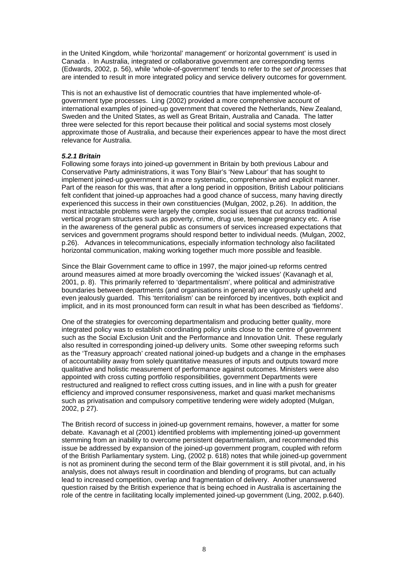in the United Kingdom, while 'horizontal' management' or horizontal government' is used in Canada . In Australia, integrated or collaborative government are corresponding terms (Edwards, 2002, p. 56), while 'whole-of-government' tends to refer to the *set of processes* that are intended to result in more integrated policy and service delivery outcomes for government.

This is not an exhaustive list of democratic countries that have implemented whole-ofgovernment type processes. Ling (2002) provided a more comprehensive account of international examples of joined-up government that covered the Netherlands, New Zealand, Sweden and the United States, as well as Great Britain, Australia and Canada. The latter three were selected for this report because their political and social systems most closely approximate those of Australia, and because their experiences appear to have the most direct relevance for Australia.

#### *5.2.1 Britain*

Following some forays into joined-up government in Britain by both previous Labour and Conservative Party administrations, it was Tony Blair's 'New Labour' that has sought to implement joined-up government in a more systematic, comprehensive and explicit manner. Part of the reason for this was, that after a long period in opposition, British Labour politicians felt confident that joined-up approaches had a good chance of success, many having directly experienced this success in their own constituencies (Mulgan, 2002, p.26). In addition, the most intractable problems were largely the complex social issues that cut across traditional vertical program structures such as poverty, crime, drug use, teenage pregnancy etc. A rise in the awareness of the general public as consumers of services increased expectations that services and government programs should respond better to individual needs. (Mulgan, 2002, p.26). Advances in telecommunications, especially information technology also facilitated horizontal communication, making working together much more possible and feasible.

Since the Blair Government came to office in 1997, the major joined-up reforms centred around measures aimed at more broadly overcoming the 'wicked issues' (Kavanagh et al, 2001, p. 8). This primarily referred to 'departmentalism', where political and administrative boundaries between departments (and organisations in general) are vigorously upheld and even jealously guarded. This 'territorialism' can be reinforced by incentives, both explicit and implicit, and in its most pronounced form can result in what has been described as 'fiefdoms'.

One of the strategies for overcoming departmentalism and producing better quality, more integrated policy was to establish coordinating policy units close to the centre of government such as the Social Exclusion Unit and the Performance and Innovation Unit. These regularly also resulted in corresponding joined-up delivery units. Some other sweeping reforms such as the 'Treasury approach' created national joined-up budgets and a change in the emphases of accountability away from solely quantitative measures of inputs and outputs toward more qualitative and holistic measurement of performance against outcomes. Ministers were also appointed with cross cutting portfolio responsibilities, government Departments were restructured and realigned to reflect cross cutting issues, and in line with a push for greater efficiency and improved consumer responsiveness, market and quasi market mechanisms such as privatisation and compulsory competitive tendering were widely adopted (Mulgan, 2002, p 27).

The British record of success in joined-up government remains, however, a matter for some debate. Kavanagh et al (2001) identified problems with implementing joined-up government stemming from an inability to overcome persistent departmentalism, and recommended this issue be addressed by expansion of the joined-up government program, coupled with reform of the British Parliamentary system. Ling, (2002 p. 618) notes that while joined-up government is not as prominent during the second term of the Blair government it is still pivotal, and, in his analysis, does not always result in coordination and blending of programs, but can actually lead to increased competition, overlap and fragmentation of delivery. Another unanswered question raised by the British experience that is being echoed in Australia is ascertaining the role of the centre in facilitating locally implemented joined-up government (Ling, 2002, p.640).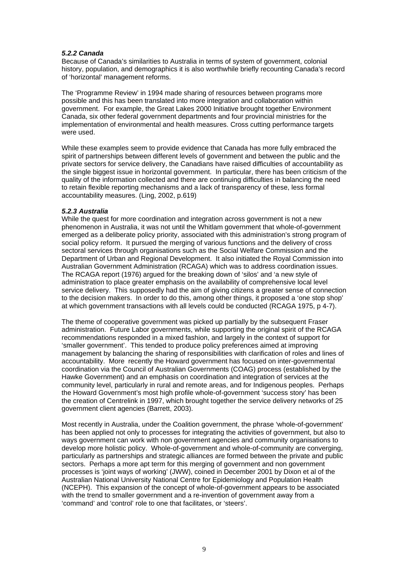#### *5.2.2 Canada*

Because of Canada's similarities to Australia in terms of system of government, colonial history, population, and demographics it is also worthwhile briefly recounting Canada's record of 'horizontal' management reforms.

The 'Programme Review' in 1994 made sharing of resources between programs more possible and this has been translated into more integration and collaboration within government. For example, the Great Lakes 2000 Initiative brought together Environment Canada, six other federal government departments and four provincial ministries for the implementation of environmental and health measures. Cross cutting performance targets were used.

While these examples seem to provide evidence that Canada has more fully embraced the spirit of partnerships between different levels of government and between the public and the private sectors for service delivery, the Canadians have raised difficulties of accountability as the single biggest issue in horizontal government. In particular, there has been criticism of the quality of the information collected and there are continuing difficulties in balancing the need to retain flexible reporting mechanisms and a lack of transparency of these, less formal accountability measures. (Ling, 2002, p.619)

#### *5.2.3 Australia*

While the quest for more coordination and integration across government is not a new phenomenon in Australia, it was not until the Whitlam government that whole-of-government emerged as a deliberate policy priority, associated with this administration's strong program of social policy reform. It pursued the merging of various functions and the delivery of cross sectoral services through organisations such as the Social Welfare Commission and the Department of Urban and Regional Development. It also initiated the Royal Commission into Australian Government Administration (RCAGA) which was to address coordination issues. The RCAGA report (1976) argued for the breaking down of 'silos' and 'a new style of administration to place greater emphasis on the availability of comprehensive local level service delivery. This supposedly had the aim of giving citizens a greater sense of connection to the decision makers. In order to do this, among other things, it proposed a 'one stop shop' at which government transactions with all levels could be conducted (RCAGA 1975, p 4-7).

The theme of cooperative government was picked up partially by the subsequent Fraser administration. Future Labor governments, while supporting the original spirit of the RCAGA recommendations responded in a mixed fashion, and largely in the context of support for 'smaller government'. This tended to produce policy preferences aimed at improving management by balancing the sharing of responsibilities with clarification of roles and lines of accountability. More recently the Howard government has focused on inter-governmental coordination via the Council of Australian Governments (COAG) process (established by the Hawke Government) and an emphasis on coordination and integration of services at the community level, particularly in rural and remote areas, and for Indigenous peoples. Perhaps the Howard Government's most high profile whole-of-government 'success story' has been the creation of Centrelink in 1997, which brought together the service delivery networks of 25 government client agencies (Barrett, 2003).

Most recently in Australia, under the Coalition government, the phrase 'whole-of-government' has been applied not only to processes for integrating the activities of government, but also to ways government can work with non government agencies and community organisations to develop more holistic policy. Whole-of-government and whole-of-community are converging, particularly as partnerships and strategic alliances are formed between the private and public sectors. Perhaps a more apt term for this merging of government and non government processes is 'joint ways of working' (JWW), coined in December 2001 by Dixon et al of the Australian National University National Centre for Epidemiology and Population Health (NCEPH). This expansion of the concept of whole-of-government appears to be associated with the trend to smaller government and a re-invention of government away from a 'command' and 'control' role to one that facilitates, or 'steers'.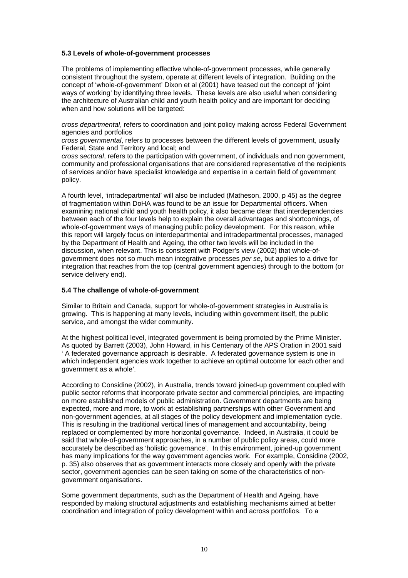#### **5.3 Levels of whole-of-government processes**

The problems of implementing effective whole-of-government processes, while generally consistent throughout the system, operate at different levels of integration. Building on the concept of 'whole-of-government' Dixon et al (2001) have teased out the concept of 'joint ways of working' by identifying three levels. These levels are also useful when considering the architecture of Australian child and youth health policy and are important for deciding when and how solutions will be targeted:

*cross departmental*, refers to coordination and joint policy making across Federal Government agencies and portfolios

*cross governmental*, refers to processes between the different levels of government, usually Federal, State and Territory and local; and

*cross sectoral*, refers to the participation with government, of individuals and non government, community and professional organisations that are considered representative of the recipients of services and/or have specialist knowledge and expertise in a certain field of government policy.

A fourth level, 'intradepartmental' will also be included (Matheson, 2000, p 45) as the degree of fragmentation within DoHA was found to be an issue for Departmental officers. When examining national child and youth health policy, it also became clear that interdependencies between each of the four levels help to explain the overall advantages and shortcomings, of whole-of-government ways of managing public policy development. For this reason, while this report will largely focus on interdepartmental and intradepartmental processes, managed by the Department of Health and Ageing, the other two levels will be included in the discussion, when relevant. This is consistent with Podger's view (2002) that whole-ofgovernment does not so much mean integrative processes *per se*, but applies to a drive for integration that reaches from the top (central government agencies) through to the bottom (or service delivery end).

#### **5.4 The challenge of whole-of-government**

Similar to Britain and Canada, support for whole-of-government strategies in Australia is growing. This is happening at many levels, including within government itself, the public service, and amongst the wider community.

At the highest political level, integrated government is being promoted by the Prime Minister. As quoted by Barrett (2003), John Howard, in his Centenary of the APS Oration in 2001 said ' A federated governance approach is desirable. A federated governance system is one in which independent agencies work together to achieve an optimal outcome for each other and government as a whole'.

According to Considine (2002), in Australia, trends toward joined-up government coupled with public sector reforms that incorporate private sector and commercial principles, are impacting on more established models of public administration. Government departments are being expected, more and more, to work at establishing partnerships with other Government and non-government agencies, at all stages of the policy development and implementation cycle. This is resulting in the traditional vertical lines of management and accountability, being replaced or complemented by more horizontal governance. Indeed, in Australia, it could be said that whole-of-government approaches, in a number of public policy areas, could more accurately be described as 'holistic governance'. In this environment, joined-up government has many implications for the way government agencies work. For example, Considine (2002, p. 35) also observes that as government interacts more closely and openly with the private sector, government agencies can be seen taking on some of the characteristics of nongovernment organisations.

Some government departments, such as the Department of Health and Ageing, have responded by making structural adjustments and establishing mechanisms aimed at better coordination and integration of policy development within and across portfolios. To a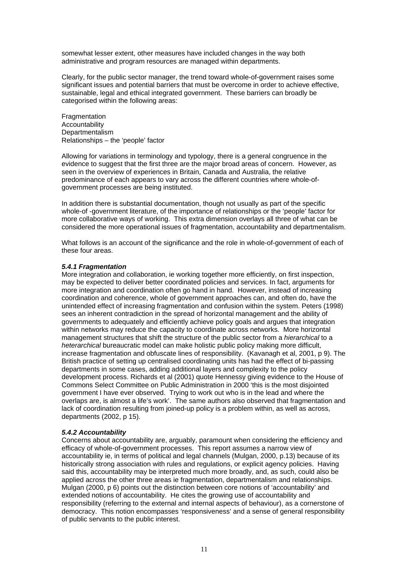somewhat lesser extent, other measures have included changes in the way both administrative and program resources are managed within departments.

Clearly, for the public sector manager, the trend toward whole-of-government raises some significant issues and potential barriers that must be overcome in order to achieve effective, sustainable, legal and ethical integrated government. These barriers can broadly be categorised within the following areas:

Fragmentation **Accountability** Departmentalism Relationships – the 'people' factor

Allowing for variations in terminology and typology, there is a general congruence in the evidence to suggest that the first three are the major broad areas of concern. However, as seen in the overview of experiences in Britain, Canada and Australia, the relative predominance of each appears to vary across the different countries where whole-ofgovernment processes are being instituted.

In addition there is substantial documentation, though not usually as part of the specific whole-of -government literature, of the importance of relationships or the 'people' factor for more collaborative ways of working. This extra dimension overlays all three of what can be considered the more operational issues of fragmentation, accountability and departmentalism.

What follows is an account of the significance and the role in whole-of-government of each of these four areas.

#### *5.4.1 Fragmentation*

More integration and collaboration, ie working together more efficiently, on first inspection, may be expected to deliver better coordinated policies and services. In fact, arguments for more integration and coordination often go hand in hand. However, instead of increasing coordination and coherence, whole of government approaches can, and often do, have the unintended effect of increasing fragmentation and confusion within the system. Peters (1998) sees an inherent contradiction in the spread of horizontal management and the ability of governments to adequately and efficiently achieve policy goals and argues that integration within networks may reduce the capacity to coordinate across networks. More horizontal management structures that shift the structure of the public sector from a *hierarchical* to a *heterarchical* bureaucratic model can make holistic public policy making more difficult, increase fragmentation and obfuscate lines of responsibility. (Kavanagh et al, 2001, p 9). The British practice of setting up centralised coordinating units has had the effect of bi-passing departments in some cases, adding additional layers and complexity to the policy development process. Richards et al (2001) quote Hennessy giving evidence to the House of Commons Select Committee on Public Administration in 2000 'this is the most disjointed government I have ever observed. Trying to work out who is in the lead and where the overlaps are, is almost a life's work'. The same authors also observed that fragmentation and lack of coordination resulting from joined-up policy is a problem within, as well as across, departments (2002, p 15).

#### *5.4.2 Accountability*

Concerns about accountability are, arguably, paramount when considering the efficiency and efficacy of whole-of-government processes. This report assumes a narrow view of accountability ie, in terms of political and legal channels (Mulgan, 2000, p.13) because of its historically strong association with rules and regulations, or explicit agency policies. Having said this, accountability may be interpreted much more broadly, and, as such, could also be applied across the other three areas ie fragmentation, departmentalism and relationships. Mulgan (2000, p 6) points out the distinction between core notions of 'accountability' and extended notions of accountability. He cites the growing use of accountability and responsibility (referring to the external and internal aspects of behaviour), as a cornerstone of democracy. This notion encompasses 'responsiveness' and a sense of general responsibility of public servants to the public interest.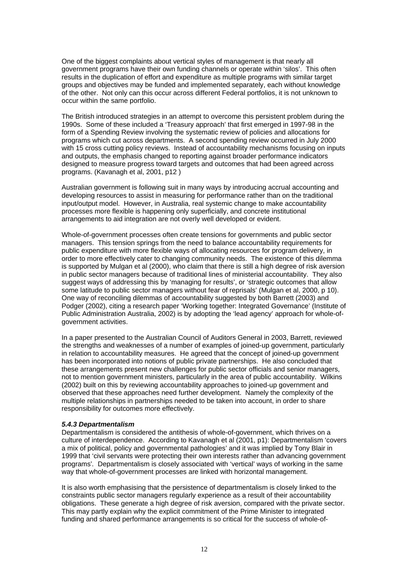One of the biggest complaints about vertical styles of management is that nearly all government programs have their own funding channels or operate within 'silos'. This often results in the duplication of effort and expenditure as multiple programs with similar target groups and objectives may be funded and implemented separately, each without knowledge of the other. Not only can this occur across different Federal portfolios, it is not unknown to occur within the same portfolio.

The British introduced strategies in an attempt to overcome this persistent problem during the 1990s. Some of these included a 'Treasury approach' that first emerged in 1997-98 in the form of a Spending Review involving the systematic review of policies and allocations for programs which cut across departments. A second spending review occurred in July 2000 with 15 cross cutting policy reviews. Instead of accountability mechanisms focusing on inputs and outputs, the emphasis changed to reporting against broader performance indicators designed to measure progress toward targets and outcomes that had been agreed across programs. (Kavanagh et al, 2001, p12 )

Australian government is following suit in many ways by introducing accrual accounting and developing resources to assist in measuring for performance rather than on the traditional input/output model. However, in Australia, real systemic change to make accountability processes more flexible is happening only superficially, and concrete institutional arrangements to aid integration are not overly well developed or evident.

Whole-of-government processes often create tensions for governments and public sector managers. This tension springs from the need to balance accountability requirements for public expenditure with more flexible ways of allocating resources for program delivery, in order to more effectively cater to changing community needs. The existence of this dilemma is supported by Mulgan et al (2000), who claim that there is still a high degree of risk aversion in public sector managers because of traditional lines of ministerial accountability. They also suggest ways of addressing this by 'managing for results', or 'strategic outcomes that allow some latitude to public sector managers without fear of reprisals' (Mulgan et al, 2000, p 10). One way of reconciling dilemmas of accountability suggested by both Barrett (2003) and Podger (2002), citing a research paper 'Working together: Integrated Governance' (Institute of Public Administration Australia, 2002) is by adopting the 'lead agency' approach for whole-ofgovernment activities.

In a paper presented to the Australian Council of Auditors General in 2003, Barrett, reviewed the strengths and weaknesses of a number of examples of joined-up government, particularly in relation to accountability measures. He agreed that the concept of joined-up government has been incorporated into notions of public private partnerships. He also concluded that these arrangements present new challenges for public sector officials and senior managers, not to mention government ministers, particularly in the area of public accountability. Wilkins (2002) built on this by reviewing accountability approaches to joined-up government and observed that these approaches need further development. Namely the complexity of the multiple relationships in partnerships needed to be taken into account, in order to share responsibility for outcomes more effectively.

#### *5.4.3 Departmentalism*

Departmentalism is considered the antithesis of whole-of-government, which thrives on a culture of interdependence. According to Kavanagh et al (2001, p1): Departmentalism 'covers a mix of political, policy and governmental pathologies' and it was implied by Tony Blair in 1999 that 'civil servants were protecting their own interests rather than advancing government programs'*.* Departmentalism is closely associated with 'vertical' ways of working in the same way that whole-of-government processes are linked with horizontal management.

It is also worth emphasising that the persistence of departmentalism is closely linked to the constraints public sector managers regularly experience as a result of their accountability obligations. These generate a high degree of risk aversion, compared with the private sector. This may partly explain why the explicit commitment of the Prime Minister to integrated funding and shared performance arrangements is so critical for the success of whole-of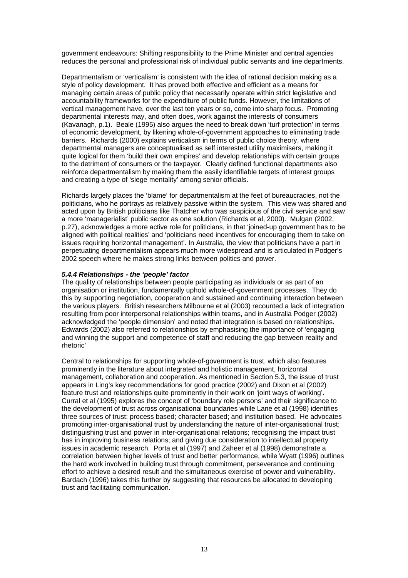government endeavours: Shifting responsibility to the Prime Minister and central agencies reduces the personal and professional risk of individual public servants and line departments.

Departmentalism or 'verticalism' is consistent with the idea of rational decision making as a style of policy development. It has proved both effective and efficient as a means for managing certain areas of public policy that necessarily operate within strict legislative and accountability frameworks for the expenditure of public funds. However, the limitations of vertical management have, over the last ten years or so, come into sharp focus. Promoting departmental interests may, and often does, work against the interests of consumers (Kavanagh, p.1). Beale (1995) also argues the need to break down 'turf protection' in terms of economic development, by likening whole-of-government approaches to eliminating trade barriers. Richards (2000) explains verticalism in terms of public choice theory, where departmental managers are conceptualised as self interested utility maximisers, making it quite logical for them 'build their own empires' and develop relationships with certain groups to the detriment of consumers or the taxpayer. Clearly defined functional departments also reinforce departmentalism by making them the easily identifiable targets of interest groups and creating a type of 'siege mentality' among senior officials.

Richards largely places the 'blame' for departmentalism at the feet of bureaucracies, not the politicians, who he portrays as relatively passive within the system. This view was shared and acted upon by British politicians like Thatcher who was suspicious of the civil service and saw a more 'managerialist' public sector as one solution (Richards et al, 2000). Mulgan (2002, p.27), acknowledges a more active role for politicians, in that 'joined-up government has to be aligned with political realities' and 'politicians need incentives for encouraging them to take on issues requiring horizontal management'. In Australia, the view that politicians have a part in perpetuating departmentalism appears much more widespread and is articulated in Podger's 2002 speech where he makes strong links between politics and power.

#### *5.4.4 Relationships - the 'people' factor*

The quality of relationships between people participating as individuals or as part of an organisation or institution, fundamentally uphold whole-of-government processes. They do this by supporting negotiation, cooperation and sustained and continuing interaction between the various players. British researchers Milbourne et al (2003) recounted a lack of integration resulting from poor interpersonal relationships within teams, and in Australia Podger (2002) acknowledged the 'people dimension' and noted that integration is based on relationships. Edwards (2002) also referred to relationships by emphasising the importance of 'engaging and winning the support and competence of staff and reducing the gap between reality and rhetoric'

Central to relationships for supporting whole-of-government is trust, which also features prominently in the literature about integrated and holistic management, horizontal management, collaboration and cooperation. As mentioned in Section 5.3, the issue of trust appears in Ling's key recommendations for good practice (2002) and Dixon et al (2002) feature trust and relationships quite prominently in their work on 'joint ways of working'. Curral et al (1995) explores the concept of 'boundary role persons' and their significance to the development of trust across organisational boundaries while Lane et al (1998) identifies three sources of trust: process based; character based; and institution based. He advocates promoting inter-organisational trust by understanding the nature of inter-organisational trust; distinguishing trust and power in inter-organisational relations; recognising the impact trust has in improving business relations; and giving due consideration to intellectual property issues in academic research. Porta et al (1997) and Zaheer et al (1998) demonstrate a correlation between higher levels of trust and better performance, while Wyatt (1996) outlines the hard work involved in building trust through commitment, perseverance and continuing effort to achieve a desired result and the simultaneous exercise of power and vulnerability. Bardach (1996) takes this further by suggesting that resources be allocated to developing trust and facilitating communication.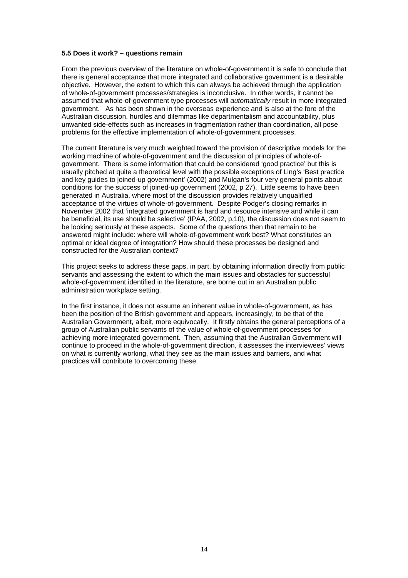#### **5.5 Does it work? – questions remain**

From the previous overview of the literature on whole-of-government it is safe to conclude that there is general acceptance that more integrated and collaborative government is a desirable objective. However, the extent to which this can always be achieved through the application of whole-of-government processes/strategies is inconclusive. In other words, it cannot be assumed that whole-of-government type processes will *automatically* result in more integrated government. As has been shown in the overseas experience and is also at the fore of the Australian discussion, hurdles and dilemmas like departmentalism and accountability, plus unwanted side-effects such as increases in fragmentation rather than coordination, all pose problems for the effective implementation of whole-of-government processes.

The current literature is very much weighted toward the provision of descriptive models for the working machine of whole-of-government and the discussion of principles of whole-ofgovernment. There is some information that could be considered 'good practice' but this is usually pitched at quite a theoretical level with the possible exceptions of Ling's 'Best practice and key guides to joined-up government' (2002) and Mulgan's four very general points about conditions for the success of joined-up government (2002, p 27). Little seems to have been generated in Australia, where most of the discussion provides relatively unqualified acceptance of the virtues of whole-of-government. Despite Podger's closing remarks in November 2002 that 'integrated government is hard and resource intensive and while it can be beneficial, its use should be selective' (IPAA, 2002, p.10), the discussion does not seem to be looking seriously at these aspects. Some of the questions then that remain to be answered might include: where will whole-of-government work best? What constitutes an optimal or ideal degree of integration? How should these processes be designed and constructed for the Australian context?

This project seeks to address these gaps, in part, by obtaining information directly from public servants and assessing the extent to which the main issues and obstacles for successful whole-of-government identified in the literature, are borne out in an Australian public administration workplace setting.

In the first instance, it does not assume an inherent value in whole-of-government, as has been the position of the British government and appears, increasingly, to be that of the Australian Government, albeit, more equivocally. It firstly obtains the general perceptions of a group of Australian public servants of the value of whole-of-government processes for achieving more integrated government. Then, assuming that the Australian Government will continue to proceed in the whole-of-government direction, it assesses the interviewees' views on what is currently working, what they see as the main issues and barriers, and what practices will contribute to overcoming these.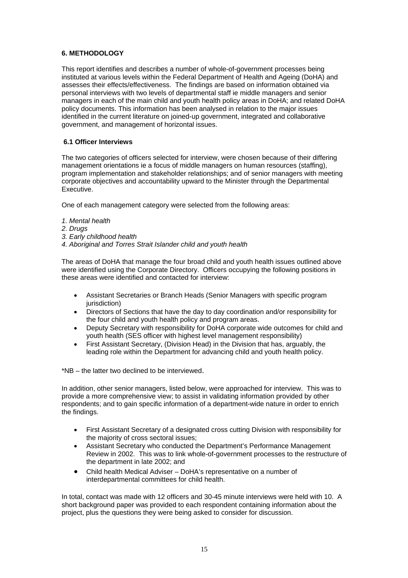#### **6. METHODOLOGY**

This report identifies and describes a number of whole-of-government processes being instituted at various levels within the Federal Department of Health and Ageing (DoHA) and assesses their effects/effectiveness. The findings are based on information obtained via personal interviews with two levels of departmental staff ie middle managers and senior managers in each of the main child and youth health policy areas in DoHA; and related DoHA policy documents. This information has been analysed in relation to the major issues identified in the current literature on joined-up government, integrated and collaborative government, and management of horizontal issues.

#### **6.1 Officer Interviews**

The two categories of officers selected for interview, were chosen because of their differing management orientations ie a focus of middle managers on human resources (staffing), program implementation and stakeholder relationships; and of senior managers with meeting corporate objectives and accountability upward to the Minister through the Departmental Executive.

One of each management category were selected from the following areas:

- *1. Mental health*
- *2. Drugs*
- *3. Early childhood health*
- *4. Aboriginal and Torres Strait Islander child and youth health*

The areas of DoHA that manage the four broad child and youth health issues outlined above were identified using the Corporate Directory. Officers occupying the following positions in these areas were identified and contacted for interview:

- Assistant Secretaries or Branch Heads (Senior Managers with specific program jurisdiction)
- Directors of Sections that have the day to day coordination and/or responsibility for the four child and youth health policy and program areas.
- Deputy Secretary with responsibility for DoHA corporate wide outcomes for child and youth health (SES officer with highest level management responsibility)
- First Assistant Secretary, (Division Head) in the Division that has, arguably, the leading role within the Department for advancing child and youth health policy.

\*NB – the latter two declined to be interviewed.

In addition, other senior managers, listed below, were approached for interview. This was to provide a more comprehensive view; to assist in validating information provided by other respondents; and to gain specific information of a department-wide nature in order to enrich the findings.

- First Assistant Secretary of a designated cross cutting Division with responsibility for the majority of cross sectoral issues;
- Assistant Secretary who conducted the Department's Performance Management Review in 2002. This was to link whole-of-government processes to the restructure of the department in late 2002; and
- Child health Medical Adviser DoHA's representative on a number of interdepartmental committees for child health.

In total, contact was made with 12 officers and 30-45 minute interviews were held with 10. A short background paper was provided to each respondent containing information about the project, plus the questions they were being asked to consider for discussion.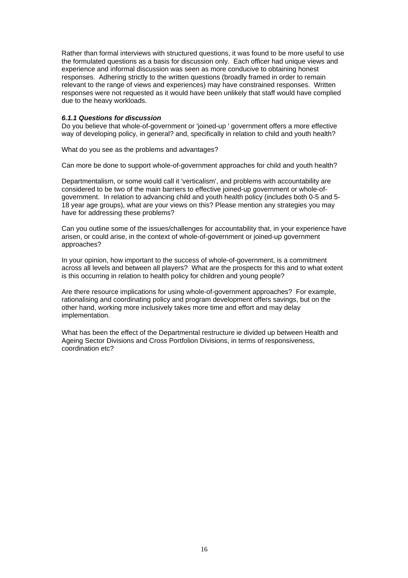Rather than formal interviews with structured questions, it was found to be more useful to use the formulated questions as a basis for discussion only. Each officer had unique views and experience and informal discussion was seen as more conducive to obtaining honest responses. Adhering strictly to the written questions (broadly framed in order to remain relevant to the range of views and experiences) may have constrained responses. Written responses were not requested as it would have been unlikely that staff would have complied due to the heavy workloads.

#### *6.1.1 Questions for discussion*

Do you believe that whole-of-government or 'joined-up ' government offers a more effective way of developing policy, in general? and, specifically in relation to child and youth health?

What do you see as the problems and advantages?

Can more be done to support whole-of-government approaches for child and youth health?

Departmentalism, or some would call it 'verticalism', and problems with accountability are considered to be two of the main barriers to effective joined-up government or whole-ofgovernment. In relation to advancing child and youth health policy (includes both 0-5 and 5- 18 year age groups), what are your views on this? Please mention any strategies you may have for addressing these problems?

Can you outline some of the issues/challenges for accountability that, in your experience have arisen, or could arise, in the context of whole-of-government or joined-up government approaches?

In your opinion, how important to the success of whole-of-government, is a commitment across all levels and between all players? What are the prospects for this and to what extent is this occurring in relation to health policy for children and young people?

Are there resource implications for using whole-of-government approaches? For example, rationalising and coordinating policy and program development offers savings, but on the other hand, working more inclusively takes more time and effort and may delay implementation.

What has been the effect of the Departmental restructure ie divided up between Health and Ageing Sector Divisions and Cross Portfolion Divisions, in terms of responsiveness, coordination etc?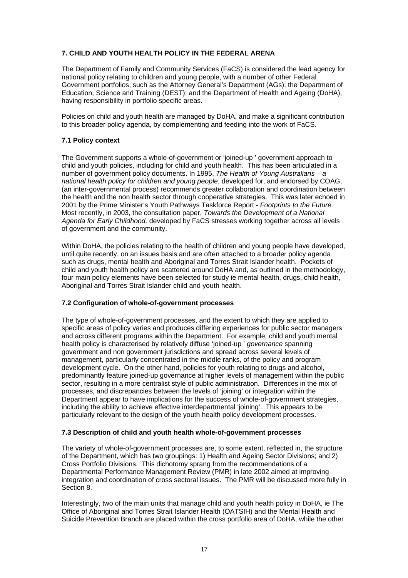#### **7. CHILD AND YOUTH HEALTH POLICY IN THE FEDERAL ARENA**

The Department of Family and Community Services (FaCS) is considered the lead agency for national policy relating to children and young people, with a number of other Federal Government portfolios, such as the Attorney General's Department (AGs); the Department of Education, Science and Training (DEST); and the Department of Health and Ageing (DoHA), having responsibility in portfolio specific areas.

Policies on child and youth health are managed by DoHA, and make a significant contribution to this broader policy agenda, by complementing and feeding into the work of FaCS.

#### **7.1 Policy context**

The Government supports a whole-of-government or 'joined-up ' government approach to child and youth policies, including for child and youth health. This has been articulated in a number of government policy documents. In 1995, *The Health of Young Australians* – *a national health policy for children and young people*, developed for, and endorsed by COAG, (an inter-governmental process) recommends greater collaboration and coordination between the health and the non health sector through cooperative strategies. This was later echoed in 2001 by the Prime Minister's Youth Pathways Taskforce Report - *Footprints to the Future.*  Most recently, in 2003, the consultation paper, *Towards the Development of a National Agenda for Early Childhood,* developed by FaCS stresses working together across all levels of government and the community.

Within DoHA, the policies relating to the health of children and young people have developed, until quite recently, on an issues basis and are often attached to a broader policy agenda such as drugs, mental health and Aboriginal and Torres Strait Islander health. Pockets of child and youth health policy are scattered around DoHA and, as outlined in the methodology, four main policy elements have been selected for study ie mental health, drugs, child health, Aboriginal and Torres Strait Islander child and youth health.

#### **7.2 Configuration of whole-of-government processes**

The type of whole-of-government processes, and the extent to which they are applied to specific areas of policy varies and produces differing experiences for public sector managers and across different programs within the Department. For example, child and youth mental health policy is characterised by relatively diffuse 'joined-up ' *governance* spanning government and non government jurisdictions and spread across several levels of management, particularly concentrated in the middle ranks, of the policy and program development cycle. On the other hand, policies for youth relating to drugs and alcohol, predominantly feature joined-up governance at higher levels of management within the public sector, resulting in a more centralist style of public administration. Differences in the mix of processes, and discrepancies between the levels of 'joining' or integration within the Department appear to have implications for the success of whole-of-government strategies, including the ability to achieve effective interdepartmental 'joining'. This appears to be particularly relevant to the design of the youth health policy development processes.

#### **7.3 Description of child and youth health whole-of-government processes**

The variety of whole-of-government processes are, to some extent, reflected in, the structure of the Department, which has two groupings: 1) Health and Ageing Sector Divisions; and 2) Cross Portfolio Divisions. This dichotomy sprang from the recommendations of a Departmental Performance Management Review (PMR) in late 2002 aimed at improving integration and coordination of cross sectoral issues. The PMR will be discussed more fully in Section 8.

Interestingly, two of the main units that manage child and youth health policy in DoHA, ie The Office of Aboriginal and Torres Strait Islander Health (OATSIH) and the Mental Health and Suicide Prevention Branch are placed within the cross portfolio area of DoHA, while the other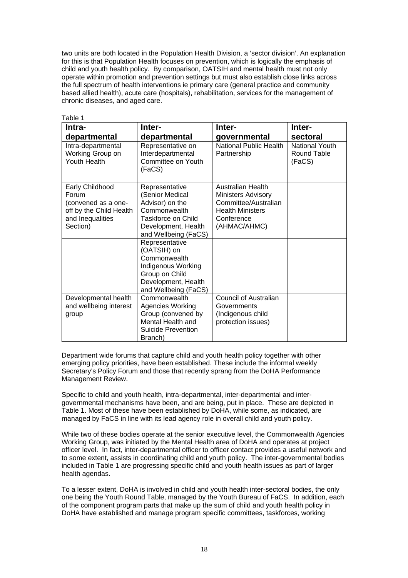two units are both located in the Population Health Division, a 'sector division'. An explanation for this is that Population Health focuses on prevention, which is logically the emphasis of child and youth health policy. By comparison, OATSIH and mental health must not only operate within promotion and prevention settings but must also establish close links across the full spectrum of health interventions ie primary care (general practice and community based allied health), acute care (hospitals), rehabilitation, services for the management of chronic diseases, and aged care.

| Table 1                                                |                                                              |                                              |                                                |  |
|--------------------------------------------------------|--------------------------------------------------------------|----------------------------------------------|------------------------------------------------|--|
| Intra-                                                 | Inter-                                                       | Inter-                                       | Inter-                                         |  |
| departmental                                           | departmental                                                 | governmental                                 | sectoral                                       |  |
| Intra-departmental<br>Working Group on<br>Youth Health | Representative on<br>Interdepartmental<br>Committee on Youth | <b>National Public Health</b><br>Partnership | <b>National Youth</b><br>Round Table<br>(FaCS) |  |
|                                                        | (FaCS)                                                       |                                              |                                                |  |
| Early Childhood                                        | Representative                                               | <b>Australian Health</b>                     |                                                |  |
| Forum<br>(convened as a one-                           | (Senior Medical<br>Advisor) on the                           | Ministers Advisory<br>Committee/Australian   |                                                |  |
| off by the Child Health                                | Commonwealth                                                 | <b>Health Ministers</b>                      |                                                |  |
| and Inequalities                                       | Taskforce on Child                                           | Conference                                   |                                                |  |
| Section)                                               | Development, Health<br>and Wellbeing (FaCS)                  | (AHMAC/AHMC)                                 |                                                |  |
|                                                        | Representative<br>(OATSIH) on                                |                                              |                                                |  |
|                                                        | Commonwealth                                                 |                                              |                                                |  |
|                                                        | Indigenous Working                                           |                                              |                                                |  |
|                                                        | Group on Child                                               |                                              |                                                |  |
|                                                        | Development, Health                                          |                                              |                                                |  |
|                                                        | and Wellbeing (FaCS)                                         |                                              |                                                |  |
| Developmental health<br>and wellbeing interest         | Commonwealth<br><b>Agencies Working</b>                      | Council of Australian<br>Governments         |                                                |  |
| group                                                  | Group (convened by                                           | (Indigenous child                            |                                                |  |
|                                                        | Mental Health and                                            | protection issues)                           |                                                |  |
|                                                        | Suicide Prevention                                           |                                              |                                                |  |
|                                                        | Branch)                                                      |                                              |                                                |  |

Department wide forums that capture child and youth health policy together with other emerging policy priorities, have been established. These include the informal weekly Secretary's Policy Forum and those that recently sprang from the DoHA Performance Management Review.

Specific to child and youth health, intra-departmental, inter-departmental and intergovernmental mechanisms have been, and are being, put in place. These are depicted in Table 1. Most of these have been established by DoHA, while some, as indicated, are managed by FaCS in line with its lead agency role in overall child and youth policy.

While two of these bodies operate at the senior executive level, the Commonwealth Agencies Working Group, was initiated by the Mental Health area of DoHA and operates at project officer level. In fact, inter-departmental officer to officer contact provides a useful network and to some extent, assists in coordinating child and youth policy. The inter-governmental bodies included in Table 1 are progressing specific child and youth health issues as part of larger health agendas.

To a lesser extent, DoHA is involved in child and youth health inter-sectoral bodies, the only one being the Youth Round Table, managed by the Youth Bureau of FaCS. In addition, each of the component program parts that make up the sum of child and youth health policy in DoHA have established and manage program specific committees, taskforces, working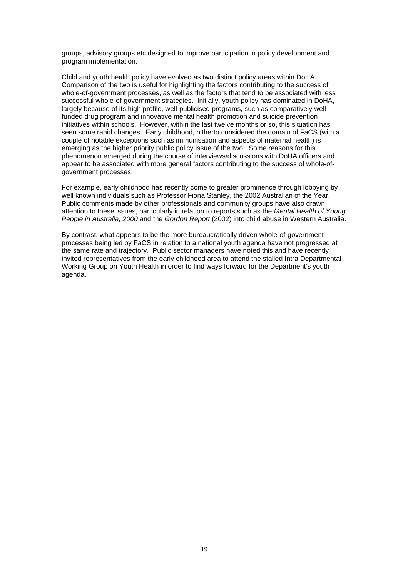groups, advisory groups etc designed to improve participation in policy development and program implementation.

Child and youth health policy have evolved as two distinct policy areas within DoHA. Comparison of the two is useful for highlighting the factors contributing to the success of whole-of-government processes, as well as the factors that tend to be associated with less successful whole-of-government strategies. Initially, youth policy has dominated in DoHA, largely because of its high profile, well-publicised programs, such as comparatively well funded drug program and innovative mental health promotion and suicide prevention initiatives within schools. However, within the last twelve months or so, this situation has seen some rapid changes. Early childhood, hitherto considered the domain of FaCS (with a couple of notable exceptions such as immunisation and aspects of maternal health) is emerging as the higher priority public policy issue of the two. Some reasons for this phenomenon emerged during the course of interviews/discussions with DoHA officers and appear to be associated with more general factors contributing to the success of whole-ofgovernment processes.

For example, early childhood has recently come to greater prominence through lobbying by well known individuals such as Professor Fiona Stanley, the 2002 Australian of the Year. Public comments made by other professionals and community groups have also drawn attention to these issues, particularly in relation to reports such as the *Mental Health of Young People in Australia, 2000* and the *Gordon Report* (2002) into child abuse in Western Australia.

By contrast, what appears to be the more bureaucratically driven whole-of-government processes being led by FaCS in relation to a national youth agenda have not progressed at the same rate and trajectory. Public sector managers have noted this and have recently invited representatives from the early childhood area to attend the stalled Intra Departmental Working Group on Youth Health in order to find ways forward for the Department's youth agenda.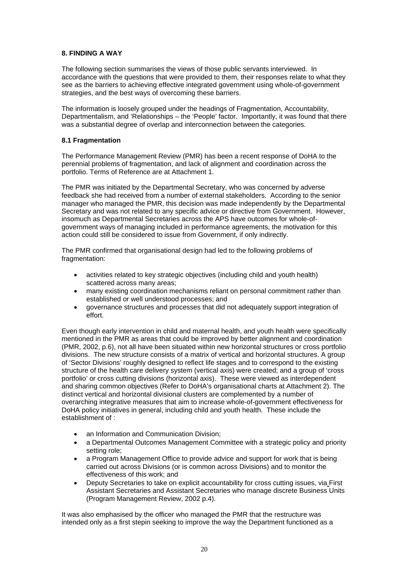#### **8. FINDING A WAY**

The following section summarises the views of those public servants interviewed. In accordance with the questions that were provided to them, their responses relate to what they see as the barriers to achieving effective integrated government using whole-of-government strategies, and the best ways of overcoming these barriers.

The information is loosely grouped under the headings of Fragmentation, Accountability, Departmentalism, and 'Relationships – the 'People' factor. Importantly, it was found that there was a substantial degree of overlap and interconnection between the categories.

#### **8.1 Fragmentation**

The Performance Management Review (PMR) has been a recent response of DoHA to the perennial problems of fragmentation, and lack of alignment and coordination across the portfolio. Terms of Reference are at Attachment 1.

The PMR was initiated by the Departmental Secretary, who was concerned by adverse feedback she had received from a number of external stakeholders. According to the senior manager who managed the PMR, this decision was made independently by the Departmental Secretary and was not related to any specific advice or directive from Government. However, insomuch as Departmental Secretaries across the APS have outcomes for whole-ofgovernment ways of managing included in performance agreements, the motivation for this action could still be considered to issue from Government, if only indirectly.

The PMR confirmed that organisational design had led to the following problems of fragmentation:

- activities related to key strategic objectives (including child and youth health) scattered across many areas;
- many existing coordination mechanisms reliant on personal commitment rather than established or well understood processes; and
- governance structures and processes that did not adequately support integration of effort.

Even though early intervention in child and maternal health, and youth health were specifically mentioned in the PMR as areas that could be improved by better alignment and coordination (PMR, 2002, p.6), not all have been situated within new horizontal structures or cross portfolio divisions. The new structure consists of a matrix of vertical and horizontal structures. A group of 'Sector Divisions' roughly designed to reflect life stages and to correspond to the existing structure of the health care delivery system (vertical axis) were created; and a group of 'cross portfolio' or cross cutting divisions (horizontal axis). These were viewed as interdependent and sharing common objectives (Refer to DoHA's organisational charts at Attachment 2). The distinct vertical and horizontal divisional clusters are complemented by a number of overarching integrative measures that aim to increase whole-of-government effectiveness for DoHA policy initiatives in general, including child and youth health. These include the establishment of :

- an Information and Communication Division:
- a Departmental Outcomes Management Committee with a strategic policy and priority setting role;
- a Program Management Office to provide advice and support for work that is being carried out across Divisions (or is common across Divisions) and to monitor the effectiveness of this work; and
- Deputy Secretaries to take on explicit accountability for cross cutting issues, via First Assistant Secretaries and Assistant Secretaries who manage discrete Business Units (Program Management Review, 2002 p.4).

It was also emphasised by the officer who managed the PMR that the restructure was intended only as a first stepin seeking to improve the way the Department functioned as a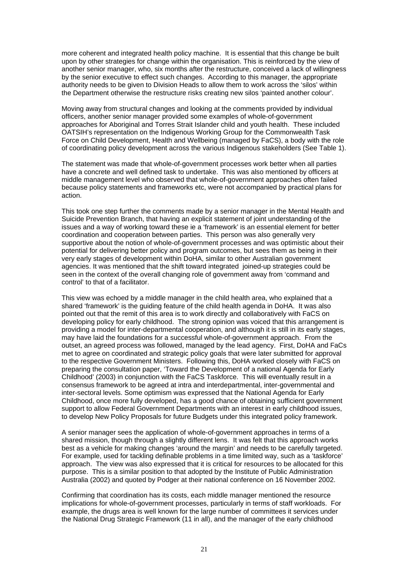more coherent and integrated health policy machine. It is essential that this change be built upon by other strategies for change within the organisation. This is reinforced by the view of another senior manager, who, six months after the restructure, conceived a lack of willingness by the senior executive to effect such changes. According to this manager, the appropriate authority needs to be given to Division Heads to allow them to work across the 'silos' within the Department otherwise the restructure risks creating new silos 'painted another colour'.

Moving away from structural changes and looking at the comments provided by individual officers, another senior manager provided some examples of whole-of-government approaches for Aboriginal and Torres Strait Islander child and youth health. These included OATSIH's representation on the Indigenous Working Group for the Commonwealth Task Force on Child Development, Health and Wellbeing (managed by FaCS), a body with the role of coordinating policy development across the various Indigenous stakeholders (See Table 1).

The statement was made that whole-of-government processes work better when all parties have a concrete and well defined task to undertake. This was also mentioned by officers at middle management level who observed that whole-of-government approaches often failed because policy statements and frameworks etc, were not accompanied by practical plans for action.

This took one step further the comments made by a senior manager in the Mental Health and Suicide Prevention Branch, that having an explicit statement of joint understanding of the issues and a way of working toward these ie a 'framework' is an essential element for better coordination and cooperation between parties. This person was also generally very supportive about the notion of whole-of-government processes and was optimistic about their potential for delivering better policy and program outcomes, but sees them as being in their very early stages of development within DoHA, similar to other Australian government agencies. It was mentioned that the shift toward integrated joined-up strategies could be seen in the context of the overall changing role of government away from 'command and control' to that of a facilitator.

This view was echoed by a middle manager in the child health area, who explained that a shared 'framework' is the guiding feature of the child health agenda in DoHA. It was also pointed out that the remit of this area is to work directly and collaboratively with FaCS on developing policy for early childhood. The strong opinion was voiced that this arrangement is providing a model for inter-departmental cooperation, and although it is still in its early stages, may have laid the foundations for a successful whole-of-government approach. From the outset, an agreed process was followed, managed by the lead agency. First, DoHA and FaCs met to agree on coordinated and strategic policy goals that were later submitted for approval to the respective Government Ministers. Following this, DoHA worked closely with FaCS on preparing the consultation paper, 'Toward the Development of a national Agenda for Early Childhood' (2003) in conjunction with the FaCS Taskforce. This will eventually result in a consensus framework to be agreed at intra and interdepartmental, inter-governmental and inter-sectoral levels. Some optimism was expressed that the National Agenda for Early Childhood, once more fully developed, has a good chance of obtaining sufficient government support to allow Federal Government Departments with an interest in early childhood issues, to develop New Policy Proposals for future Budgets under this integrated policy framework.

A senior manager sees the application of whole-of-government approaches in terms of a shared mission, though through a slightly different lens. It was felt that this approach works best as a vehicle for making changes 'around the margin' and needs to be carefully targeted. For example, used for tackling definable problems in a time limited way, such as a 'taskforce' approach. The view was also expressed that it is critical for resources to be allocated for this purpose. This is a similar position to that adopted by the Institute of Public Administration Australia (2002) and quoted by Podger at their national conference on 16 November 2002.

Confirming that coordination has its costs, each middle manager mentioned the resource implications for whole-of-government processes, particularly in terms of staff workloads. For example, the drugs area is well known for the large number of committees it services under the National Drug Strategic Framework (11 in all), and the manager of the early childhood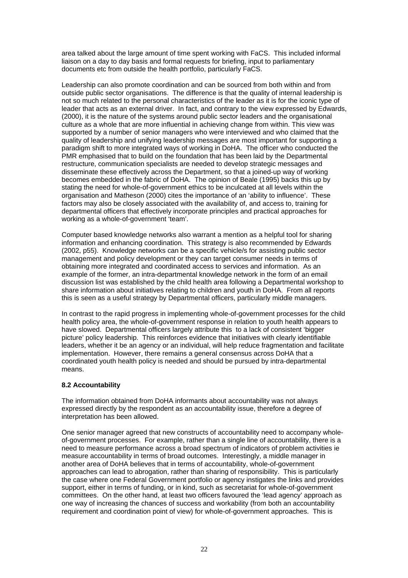area talked about the large amount of time spent working with FaCS. This included informal liaison on a day to day basis and formal requests for briefing, input to parliamentary documents etc from outside the health portfolio, particularly FaCS.

Leadership can also promote coordination and can be sourced from both within and from outside public sector organisations. The difference is that the quality of internal leadership is not so much related to the personal characteristics of the leader as it is for the iconic type of leader that acts as an external driver. In fact, and contrary to the view expressed by Edwards, (2000), it is the nature of the systems around public sector leaders and the organisational culture as a whole that are more influential in achieving change from within. This view was supported by a number of senior managers who were interviewed and who claimed that the quality of leadership and unifying leadership messages are most important for supporting a paradigm shift to more integrated ways of working in DoHA. The officer who conducted the PMR emphasised that to build on the foundation that has been laid by the Departmental restructure, communication specialists are needed to develop strategic messages and disseminate these effectively across the Department, so that a joined-up way of working becomes embedded in the fabric of DoHA. The opinion of Beale (1995) backs this up by stating the need for whole-of-government ethics to be inculcated at all levels within the organisation and Matheson (2000) cites the importance of an 'ability to influence'. These factors may also be closely associated with the availability of, and access to, training for departmental officers that effectively incorporate principles and practical approaches for working as a whole-of-government 'team'.

Computer based knowledge networks also warrant a mention as a helpful tool for sharing information and enhancing coordination. This strategy is also recommended by Edwards (2002, p55). Knowledge networks can be a specific vehicle/s for assisting public sector management and policy development or they can target consumer needs in terms of obtaining more integrated and coordinated access to services and information. As an example of the former, an intra-departmental knowledge network in the form of an email discussion list was established by the child health area following a Departmental workshop to share information about initiatives relating to children and youth in DoHA. From all reports this is seen as a useful strategy by Departmental officers, particularly middle managers.

In contrast to the rapid progress in implementing whole-of-government processes for the child health policy area, the whole-of-government response in relation to youth health appears to have slowed. Departmental officers largely attribute this to a lack of consistent 'bigger picture' policy leadership. This reinforces evidence that initiatives with clearly identifiable leaders, whether it be an agency or an individual, will help reduce fragmentation and facilitate implementation. However, there remains a general consensus across DoHA that a coordinated youth health policy is needed and should be pursued by intra-departmental means.

#### **8.2 Accountability**

The information obtained from DoHA informants about accountability was not always expressed directly by the respondent as an accountability issue, therefore a degree of interpretation has been allowed.

One senior manager agreed that new constructs of accountability need to accompany wholeof-government processes. For example, rather than a single line of accountability, there is a need to measure performance across a broad spectrum of indicators of problem activities ie measure accountability in terms of broad outcomes. Interestingly, a middle manager in another area of DoHA believes that in terms of accountability, whole-of-government approaches can lead to abrogation, rather than sharing of responsibility. This is particularly the case where one Federal Government portfolio or agency instigates the links and provides support, either in terms of funding, or in kind, such as secretariat for whole-of-government committees. On the other hand, at least two officers favoured the 'lead agency' approach as one way of increasing the chances of success and workability (from both an accountability requirement and coordination point of view) for whole-of-government approaches. This is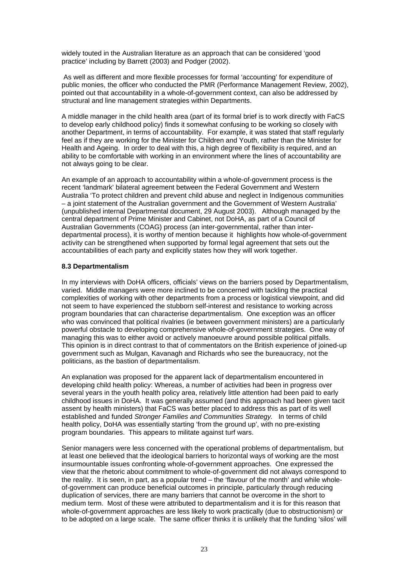widely touted in the Australian literature as an approach that can be considered 'good practice' including by Barrett (2003) and Podger (2002).

 As well as different and more flexible processes for formal 'accounting' for expenditure of public monies, the officer who conducted the PMR (Performance Management Review, 2002), pointed out that accountability in a whole-of-government context, can also be addressed by structural and line management strategies within Departments.

A middle manager in the child health area (part of its formal brief is to work directly with FaCS to develop early childhood policy) finds it somewhat confusing to be working so closely with another Department, in terms of accountability. For example, it was stated that staff regularly feel as if they are working for the Minister for Children and Youth, rather than the Minister for Health and Ageing. In order to deal with this, a high degree of flexibility is required, and an ability to be comfortable with working in an environment where the lines of accountability are not always going to be clear.

An example of an approach to accountability within a whole-of-government process is the recent 'landmark' bilateral agreement between the Federal Government and Western Australia 'To protect children and prevent child abuse and neglect in Indigenous communities – a joint statement of the Australian government and the Government of Western Australia' (unpublished internal Departmental document, 29 August 2003). Although managed by the central department of Prime Minister and Cabinet, not DoHA, as part of a Council of Australian Governments (COAG) process (an inter-governmental, rather than interdepartmental process), it is worthy of mention because it highlights how whole-of-government activity can be strengthened when supported by formal legal agreement that sets out the accountabilities of each party and explicitly states how they will work together.

#### **8.3 Departmentalism**

In my interviews with DoHA officers, officials' views on the barriers posed by Departmentalism, varied. Middle managers were more inclined to be concerned with tackling the practical complexities of working with other departments from a process or logistical viewpoint, and did not seem to have experienced the stubborn self-interest and resistance to working across program boundaries that can characterise departmentalism. One exception was an officer who was convinced that political rivalries (ie between government ministers) are a particularly powerful obstacle to developing comprehensive whole-of-government strategies. One way of managing this was to either avoid or actively manoeuvre around possible political pitfalls. This opinion is in direct contrast to that of commentators on the British experience of joined-up government such as Mulgan, Kavanagh and Richards who see the bureaucracy, not the politicians, as the bastion of departmentalism.

An explanation was proposed for the apparent lack of departmentalism encountered in developing child health policy: Whereas, a number of activities had been in progress over several years in the youth health policy area, relatively little attention had been paid to early childhood issues in DoHA. It was generally assumed (and this approach had been given tacit assent by health ministers) that FaCS was better placed to address this as part of its well established and funded *Stronger Families and Communities Strategy.* In terms of child health policy, DoHA was essentially starting 'from the ground up', with no pre-existing program boundaries. This appears to militate against turf wars.

Senior managers were less concerned with the operational problems of departmentalism, but at least one believed that the ideological barriers to horizontal ways of working are the most insurmountable issues confronting whole-of-government approaches. One expressed the view that the rhetoric about commitment to whole-of-government did not always correspond to the reality. It is seen, in part, as a popular trend – the 'flavour of the month' and while wholeof-government can produce beneficial outcomes in principle, particularly through reducing duplication of services, there are many barriers that cannot be overcome in the short to medium term. Most of these were attributed to departmentalism and it is for this reason that whole-of-government approaches are less likely to work practically (due to obstructionism) or to be adopted on a large scale. The same officer thinks it is unlikely that the funding 'silos' will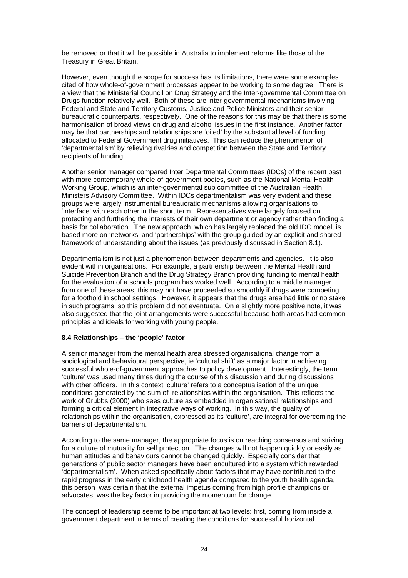be removed or that it will be possible in Australia to implement reforms like those of the Treasury in Great Britain.

However, even though the scope for success has its limitations, there were some examples cited of how whole-of-government processes appear to be working to some degree. There is a view that the Ministerial Council on Drug Strategy and the Inter-governmental Committee on Drugs function relatively well. Both of these are inter-governmental mechanisms involving Federal and State and Territory Customs, Justice and Police Ministers and their senior bureaucratic counterparts, respectively. One of the reasons for this may be that there is some harmonisation of broad views on drug and alcohol issues in the first instance. Another factor may be that partnerships and relationships are 'oiled' by the substantial level of funding allocated to Federal Government drug initiatives. This can reduce the phenomenon of 'departmentalism' by relieving rivalries and competition between the State and Territory recipients of funding.

Another senior manager compared Inter Departmental Committees (IDCs) of the recent past with more contemporary whole-of-government bodies, such as the National Mental Health Working Group, which is an inter-govenmental sub committee of the Australian Health Ministers Advisory Committee. Within IDCs departmentalism was very evident and these groups were largely instrumental bureaucratic mechanisms allowing organisations to 'interface' with each other in the short term. Representatives were largely focused on protecting and furthering the interests of their own department or agency rather than finding a basis for collaboration. The new approach, which has largely replaced the old IDC model, is based more on 'networks' and 'partnerships' with the group guided by an explicit and shared framework of understanding about the issues (as previously discussed in Section 8.1).

Departmentalism is not just a phenomenon between departments and agencies. It is also evident within organisations. For example, a partnership between the Mental Health and Suicide Prevention Branch and the Drug Strategy Branch providing funding to mental health for the evaluation of a schools program has worked well. According to a middle manager from one of these areas, this may not have proceeded so smoothly if drugs were competing for a foothold in school settings. However, it appears that the drugs area had little or no stake in such programs, so this problem did not eventuate. On a slightly more positive note, it was also suggested that the joint arrangements were successful because both areas had common principles and ideals for working with young people.

#### **8.4 Relationships – the 'people' factor**

A senior manager from the mental health area stressed organisational change from a sociological and behavioural perspective, ie 'cultural shift' as a major factor in achieving successful whole-of-government approaches to policy development. Interestingly, the term 'culture' was used many times during the course of this discussion and during discussions with other officers. In this context 'culture' refers to a conceptualisation of the unique conditions generated by the sum of relationships within the organisation. This reflects the work of Grubbs (2000) who sees culture as embedded in organisational relationships and forming a critical element in integrative ways of working. In this way, the quality of relationships within the organisation, expressed as its 'culture', are integral for overcoming the barriers of departmentalism.

According to the same manager, the appropriate focus is on reaching consensus and striving for a culture of mutuality for self protection. The changes will not happen quickly or easily as human attitudes and behaviours cannot be changed quickly. Especially consider that generations of public sector managers have been encultured into a system which rewarded 'departmentalism'. When asked specifically about factors that may have contributed to the rapid progress in the early childhood health agenda compared to the youth health agenda, this person was certain that the external impetus coming from high profile champions or advocates, was the key factor in providing the momentum for change.

The concept of leadership seems to be important at two levels: first, coming from inside a government department in terms of creating the conditions for successful horizontal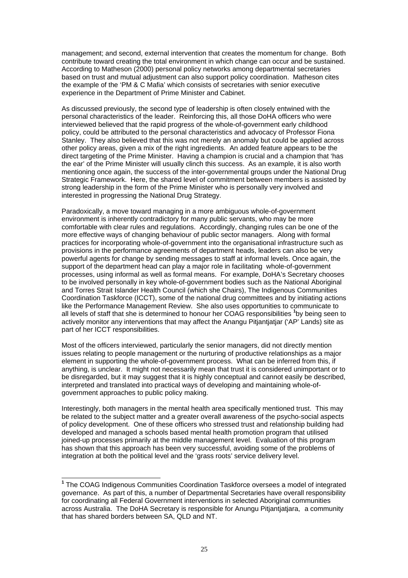management; and second, external intervention that creates the momentum for change. Both contribute toward creating the total environment in which change can occur and be sustained. According to Matheson (2000) personal policy networks among departmental secretaries based on trust and mutual adjustment can also support policy coordination. Matheson cites the example of the 'PM & C Mafia' which consists of secretaries with senior executive experience in the Department of Prime Minister and Cabinet.

As discussed previously, the second type of leadership is often closely entwined with the personal characteristics of the leader. Reinforcing this, all those DoHA officers who were interviewed believed that the rapid progress of the whole-of-government early childhood policy, could be attributed to the personal characteristics and advocacy of Professor Fiona Stanley. They also believed that this was not merely an anomaly but could be applied across other policy areas, given a mix of the right ingredients. An added feature appears to be the direct targeting of the Prime Minister. Having a champion is crucial and a champion that 'has the ear' of the Prime Minister will usually clinch this success. As an example, it is also worth mentioning once again, the success of the inter-governmental groups under the National Drug Strategic Framework. Here, the shared level of commitment between members is assisted by strong leadership in the form of the Prime Minister who is personally very involved and interested in progressing the National Drug Strategy.

Paradoxically, a move toward managing in a more ambiguous whole-of-government environment is inherently contradictory for many public servants, who may be more comfortable with clear rules and regulations. Accordingly, changing rules can be one of the more effective ways of changing behaviour of public sector managers. Along with formal practices for incorporating whole-of-government into the organisational infrastructure such as provisions in the performance agreements of department heads, leaders can also be very powerful agents for change by sending messages to staff at informal levels. Once again, the support of the department head can play a major role in facilitating whole-of-government processes, using informal as well as formal means. For example, DoHA's Secretary chooses to be involved personally in key whole-of-government bodies such as the National Aboriginal and Torres Strait Islander Health Council (which she Chairs), The Indigenous Communities Coordination Taskforce (ICCT), some of the national drug committees and by initiating actions like the Performance Management Review. She also uses opportunities to communicate to all levels of staff that she is determined to honour her COAG responsibilities **<sup>1</sup>** by being seen to actively monitor any interventions that may affect the Anangu Pitjantjatjar ('AP' Lands) site as part of her ICCT responsibilities.

Most of the officers interviewed, particularly the senior managers, did not directly mention issues relating to people management or the nurturing of productive relationships as a major element in supporting the whole-of-government process. What can be inferred from this, if anything, is unclear. It might not necessarily mean that trust it is considered unimportant or to be disregarded, but it may suggest that it is highly conceptual and cannot easily be described, interpreted and translated into practical ways of developing and maintaining whole-ofgovernment approaches to public policy making.

Interestingly, both managers in the mental health area specifically mentioned trust. This may be related to the subject matter and a greater overall awareness of the psycho-social aspects of policy development. One of these officers who stressed trust and relationship building had developed and managed a schools based mental health promotion program that utilised joined-up processes primarily at the middle management level. Evaluation of this program has shown that this approach has been very successful, avoiding some of the problems of integration at both the political level and the 'grass roots' service delivery level.

l

**<sup>1</sup>** The COAG Indigenous Communities Coordination Taskforce oversees a model of integrated governance. As part of this, a number of Departmental Secretaries have overall responsibility for coordinating all Federal Government interventions in selected Aboriginal communities across Australia. The DoHA Secretary is responsible for Anungu Pitjantjatjara, a community that has shared borders between SA, QLD and NT.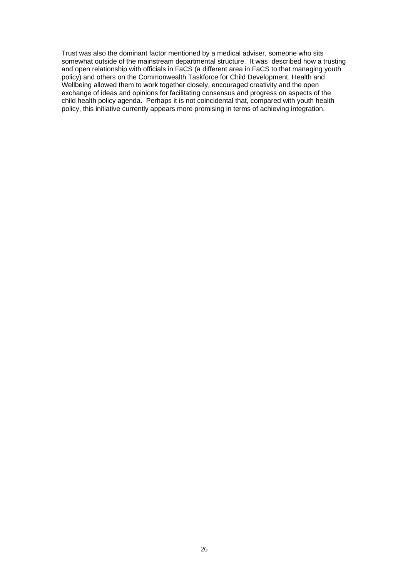Trust was also the dominant factor mentioned by a medical adviser, someone who sits somewhat outside of the mainstream departmental structure. It was described how a trusting and open relationship with officials in FaCS (a different area in FaCS to that managing youth policy) and others on the Commonwealth Taskforce for Child Development, Health and Wellbeing allowed them to work together closely, encouraged creativity and the open exchange of ideas and opinions for facilitating consensus and progress on aspects of the child health policy agenda. Perhaps it is not coincidental that, compared with youth health policy, this initiative currently appears more promising in terms of achieving integration.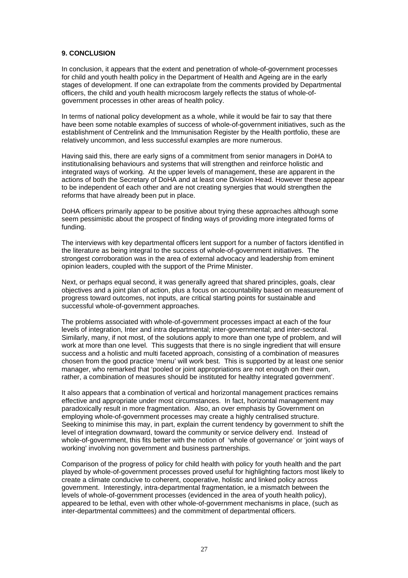#### **9. CONCLUSION**

In conclusion, it appears that the extent and penetration of whole-of-government processes for child and youth health policy in the Department of Health and Ageing are in the early stages of development. If one can extrapolate from the comments provided by Departmental officers, the child and youth health microcosm largely reflects the status of whole-ofgovernment processes in other areas of health policy.

In terms of national policy development as a whole, while it would be fair to say that there have been some notable examples of success of whole-of-government initiatives, such as the establishment of Centrelink and the Immunisation Register by the Health portfolio, these are relatively uncommon, and less successful examples are more numerous.

Having said this, there are early signs of a commitment from senior managers in DoHA to institutionalising behaviours and systems that will strengthen and reinforce holistic and integrated ways of working. At the upper levels of management, these are apparent in the actions of both the Secretary of DoHA and at least one Division Head. However these appear to be independent of each other and are not creating synergies that would strengthen the reforms that have already been put in place.

DoHA officers primarily appear to be positive about trying these approaches although some seem pessimistic about the prospect of finding ways of providing more integrated forms of funding.

The interviews with key departmental officers lent support for a number of factors identified in the literature as being integral to the success of whole-of-government initiatives. The strongest corroboration was in the area of external advocacy and leadership from eminent opinion leaders, coupled with the support of the Prime Minister.

Next, or perhaps equal second, it was generally agreed that shared principles, goals, clear objectives and a joint plan of action, plus a focus on accountability based on measurement of progress toward outcomes, not inputs, are critical starting points for sustainable and successful whole-of-government approaches.

The problems associated with whole-of-government processes impact at each of the four levels of integration, Inter and intra departmental; inter-governmental; and inter-sectoral. Similarly, many, if not most, of the solutions apply to more than one type of problem, and will work at more than one level. This suggests that there is no single ingredient that will ensure success and a holistic and multi faceted approach, consisting of a combination of measures chosen from the good practice 'menu' will work best. This is supported by at least one senior manager, who remarked that 'pooled or joint appropriations are not enough on their own, rather, a combination of measures should be instituted for healthy integrated government'.

It also appears that a combination of vertical and horizontal management practices remains effective and appropriate under most circumstances. In fact, horizontal management may paradoxically result in more fragmentation. Also, an over emphasis by Government on employing whole-of-government processes may create a highly centralised structure. Seeking to minimise this may, in part, explain the current tendency by government to shift the level of integration downward, toward the community or service delivery end. Instead of whole-of-government, this fits better with the notion of 'whole of governance' or 'joint ways of working' involving non government and business partnerships.

Comparison of the progress of policy for child health with policy for youth health and the part played by whole-of-government processes proved useful for highlighting factors most likely to create a climate conducive to coherent, cooperative, holistic and linked policy across government. Interestingly, intra-departmental fragmentation, ie a mismatch between the levels of whole-of-government processes (evidenced in the area of youth health policy), appeared to be lethal, even with other whole-of-government mechanisms in place, (such as inter-departmental committees) and the commitment of departmental officers.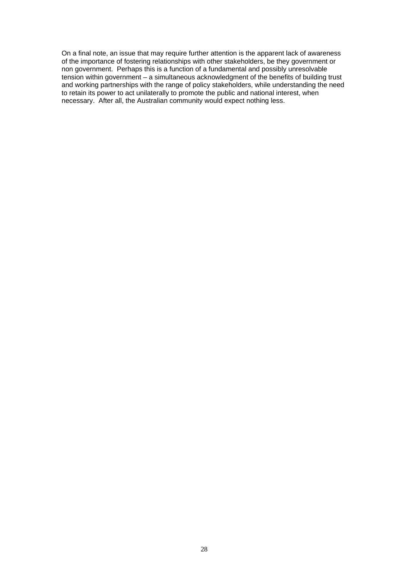On a final note, an issue that may require further attention is the apparent lack of awareness of the importance of fostering relationships with other stakeholders, be they government or non government. Perhaps this is a function of a fundamental and possibly unresolvable tension within government – a simultaneous acknowledgment of the benefits of building trust and working partnerships with the range of policy stakeholders, while understanding the need to retain its power to act unilaterally to promote the public and national interest, when necessary. After all, the Australian community would expect nothing less.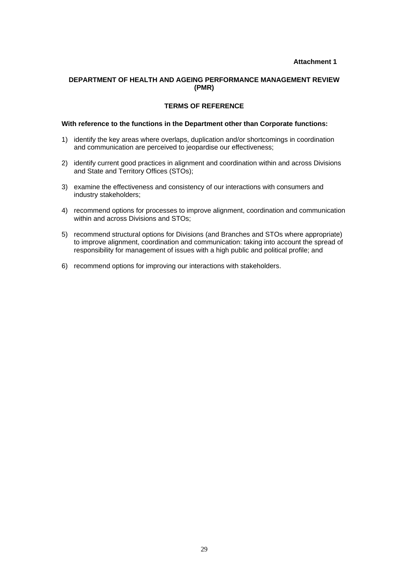## *<u>Attachment 1</u>*

#### **DEPARTMENT OF HEALTH AND AGEING PERFORMANCE MANAGEMENT REVIEW (PMR)**

#### **TERMS OF REFERENCE**

#### **With reference to the functions in the Department other than Corporate functions:**

- 1) identify the key areas where overlaps, duplication and/or shortcomings in coordination and communication are perceived to jeopardise our effectiveness;
- 2) identify current good practices in alignment and coordination within and across Divisions and State and Territory Offices (STOs);
- 3) examine the effectiveness and consistency of our interactions with consumers and industry stakeholders;
- 4) recommend options for processes to improve alignment, coordination and communication within and across Divisions and STOs;
- 5) recommend structural options for Divisions (and Branches and STOs where appropriate) to improve alignment, coordination and communication: taking into account the spread of responsibility for management of issues with a high public and political profile; and
- 6) recommend options for improving our interactions with stakeholders.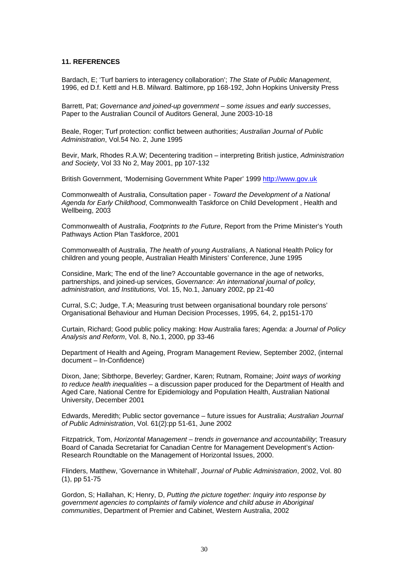#### **11. REFERENCES**

Bardach, E; 'Turf barriers to interagency collaboration'; *The State of Public Management*, 1996, ed D.f. Kettl and H.B. Milward. Baltimore, pp 168-192, John Hopkins University Press

Barrett, Pat; *Governance and joined-up government – some issues and early successes*, Paper to the Australian Council of Auditors General, June 2003-10-18

Beale, Roger; Turf protection: conflict between authorities; *Australian Journal of Public Administration*, Vol.54 No. 2, June 1995

Bevir, Mark, Rhodes R.A.W; Decentering tradition – interpreting British justice, *Administration and Society*, Vol 33 No 2, May 2001, pp 107-132

British Government, 'Modernising Government White Paper' 1999 http://www.gov.uk

Commonwealth of Australia, Consultation paper - *Toward the Development of a National Agenda for Early Childhood*, Commonwealth Taskforce on Child Development , Health and Wellbeing, 2003

Commonwealth of Australia, *Footprints to the Future*, Report from the Prime Minister's Youth Pathways Action Plan Taskforce, 2001

Commonwealth of Australia, *The health of young Australians*, A National Health Policy for children and young people, Australian Health Ministers' Conference, June 1995

Considine, Mark; The end of the line? Accountable governance in the age of networks, partnerships, and joined-up services, *Governance: An international journal of policy, administration, and Institutions,* Vol. 15, No.1, January 2002, pp 21-40

Curral, S.C; Judge, T.A; Measuring trust between organisational boundary role persons' Organisational Behaviour and Human Decision Processes, 1995, 64, 2, pp151-170

Curtain, Richard; Good public policy making: How Australia fares; Agenda: *a Journal of Policy Analysis and Reform*, Vol. 8, No.1, 2000, pp 33-46

Department of Health and Ageing, Program Management Review, September 2002, (internal document – In-Confidence)

Dixon, Jane; Sibthorpe, Beverley; Gardner, Karen; Rutnam, Romaine; *Joint ways of working to reduce health inequalities* – a discussion paper produced for the Department of Health and Aged Care, National Centre for Epidemiology and Population Health, Australian National University, December 2001

Edwards, Meredith; Public sector governance – future issues for Australia; *Australian Journal of Public Administration*, Vol. 61(2):pp 51-61, June 2002

Fitzpatrick, Tom, *Horizontal Management – trends in governance and accountability*; Treasury Board of Canada Secretariat for Canadian Centre for Management Development's Action-Research Roundtable on the Management of Horizontal Issues, 2000.

Flinders, Matthew, 'Governance in Whitehall', *Journal of Public Administration*, 2002, Vol. 80 (1), pp 51-75

Gordon, S; Hallahan, K; Henry, D, *Putting the picture together: Inquiry into response by government agencies to complaints of family violence and child abuse in Aboriginal communities*, Department of Premier and Cabinet, Western Australia, 2002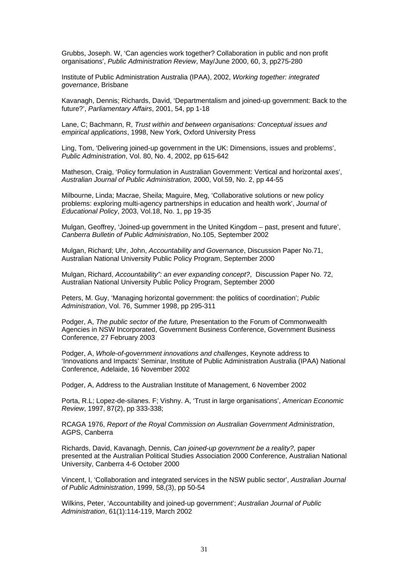Grubbs, Joseph. W, 'Can agencies work together? Collaboration in public and non profit organisations', *Public Administration Review*, May/June 2000, 60, 3, pp275-280

Institute of Public Administration Australia (IPAA), 2002, *Working together: integrated governance*, Brisbane

Kavanagh, Dennis; Richards, David, 'Departmentalism and joined-up government: Back to the future?', *Parliamentary Affairs*, 2001, 54, pp 1-18

Lane, C; Bachmann, R, *Trust within and between organisations: Conceptual issues and empirical applications*, 1998, New York, Oxford University Press

Ling, Tom, 'Delivering joined-up government in the UK: Dimensions, issues and problems', *Public Administration*, Vol. 80, No. 4, 2002, pp 615-642

Matheson, Craig, 'Policy formulation in Australian Government: Vertical and horizontal axes', *Australian Journal of Public Administration,* 2000, Vol.59, No. 2, pp 44-55

Milbourne, Linda; Macrae, Sheila; Maguire, Meg, 'Collaborative solutions or new policy problems: exploring multi-agency partnerships in education and health work', *Journal of Educational Policy*, 2003, Vol.18, No. 1, pp 19-35

Mulgan, Geoffrey, 'Joined-up government in the United Kingdom – past, present and future', *Canberra Bulletin of Public Administration*, No.105, September 2002

Mulgan, Richard; Uhr, John, *Accountability and Governance*, Discussion Paper No.71, Australian National University Public Policy Program, September 2000

Mulgan, Richard, *Accountability": an ever expanding concept?*, Discussion Paper No. 72, Australian National University Public Policy Program, September 2000

Peters, M. Guy, 'Managing horizontal government: the politics of coordination'; *Public Administration*, Vol. 76, Summer 1998, pp 295-311

Podger, A, *The public sector of the future,* Presentation to the Forum of Commonwealth Agencies in NSW Incorporated, Government Business Conference, Government Business Conference, 27 February 2003

Podger, A, *Whole-of-government innovations and challenges*, Keynote address to 'Innovations and Impacts' Seminar, Institute of Public Administration Australia (IPAA) National Conference, Adelaide, 16 November 2002

Podger, A, Address to the Australian Institute of Management, 6 November 2002

Porta, R.L; Lopez-de-silanes. F; Vishny. A, 'Trust in large organisations', *American Economic Review*, 1997, 87(2), pp 333-338;

RCAGA 1976, *Report of the Royal Commission on Australian Government Administration*, AGPS, Canberra

Richards, David, Kavanagh, Dennis, *Can joined-up government be a reality?,* paper presented at the Australian Political Studies Association 2000 Conference, Australian National University, Canberra 4-6 October 2000

Vincent, I, 'Collaboration and integrated services in the NSW public sector', *Australian Journal of Public Administration*, 1999, 58,(3), pp 50-54

Wilkins, Peter, 'Accountability and joined-up government'; *Australian Journal of Public Administration*, 61(1):114-119, March 2002